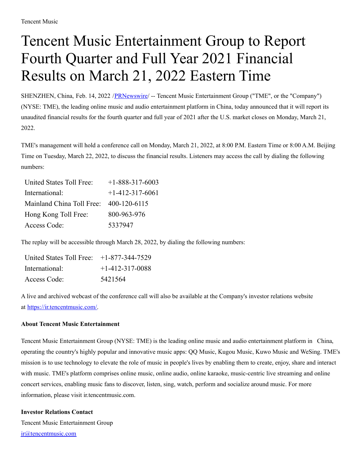## Tencent Music Entertainment Group to Report Fourth Quarter and Full Year 2021 Financial Results on March 21, 2022 Eastern Time

SHENZHEN, China, Feb. 14, 2022 [/PRNewswire](http://www.prnewswire.com/)/ -- Tencent Music Entertainment Group ("TME", or the "Company") (NYSE: TME), the leading online music and audio entertainment platform in China, today announced that it will report its unaudited financial results for the fourth quarter and full year of 2021 after the U.S. market closes on Monday, March 21, 2022.

TME's management will hold a conference call on Monday, March 21, 2022, at 8:00 P.M. Eastern Time or 8:00 A.M. Beijing Time on Tuesday, March 22, 2022, to discuss the financial results. Listeners may access the call by dialing the following numbers:

| <b>United States Toll Free:</b> | $+1 - 888 - 317 - 6003$ |
|---------------------------------|-------------------------|
| International:                  | $+1-412-317-6061$       |
| Mainland China Toll Free:       | 400-120-6115            |
| Hong Kong Toll Free:            | 800-963-976             |
| Access Code:                    | 5337947                 |

The replay will be accessible through March 28, 2022, by dialing the following numbers:

| United States Toll Free: $+1-877-344-7529$ |                   |
|--------------------------------------------|-------------------|
| International:                             | $+1-412-317-0088$ |
| Access Code:                               | 5421564           |

A live and archived webcast of the conference call will also be available at the Company's investor relations website at [https://ir.tencentmusic.com/.](https://ir.tencentmusic.com/)

## **About Tencent Music Entertainment**

Tencent Music Entertainment Group (NYSE: TME) is the leading online music and audio entertainment platform in China, operating the country's highly popular and innovative music apps: QQ Music, Kugou Music, Kuwo Music and WeSing. TME's mission is to use technology to elevate the role of music in people's lives by enabling them to create, enjoy, share and interact with music. TME's platform comprises online music, online audio, online karaoke, music-centric live streaming and online concert services, enabling music fans to discover, listen, sing, watch, perform and socialize around music. For more information, please visit ir.tencentmusic.com.

## **Investor Relations Contact** Tencent Music Entertainment Group [ir@tencentmusic.com](mailto:ir@tencentmusic.com)